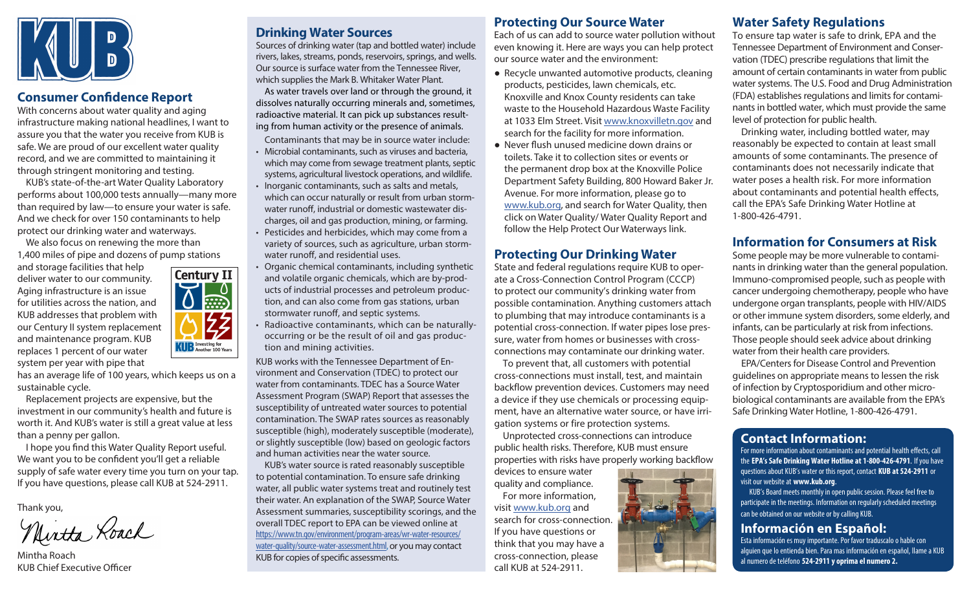

## **Consumer Confidence Report**

With concerns about water quality and aging infrastructure making national headlines, I want to assure you that the water you receive from KUB is safe. We are proud of our excellent water quality record, and we are committed to maintaining it through stringent monitoring and testing.

KUB's state-of-the-art Water Quality Laboratory performs about 100,000 tests annually—many more than required by law—to ensure your water is safe. And we check for over 150 contaminants to help protect our drinking water and waterways. We also focus on renewing the more than

1,400 miles of pipe and dozens of pump stations

and storage facilities that help deliver water to our community. Aging infrastructure is an issue for utilities across the nation, and KUB addresses that problem with our Century II system replacement and maintenance program. KUB replaces 1 percent of our water system per year with pipe that



has an average life of 100 years, which keeps us on a sustainable cycle.

Replacement projects are expensive, but the investment in our community's health and future is worth it. And KUB's water is still a great value at less than a penny per gallon.

I hope you find this Water Quality Report useful. We want you to be confident you'll get a reliable supply of safe water every time you turn on your tap. If you have questions, please call KUB at 524-2911.

Thank you,

Nintha Roach

Mintha Roach KUB Chief Executive Officer

# **Drinking Water Sources**

Sources of drinking water (tap and bottled water) include rivers, lakes, streams, ponds, reservoirs, springs, and wells. Our source is surface water from the Tennessee River, which supplies the Mark B. Whitaker Water Plant.

As water travels over land or through the ground, it dissolves naturally occurring minerals and, sometimes, radioactive material. It can pick up substances resulting from human activity or the presence of animals.

Contaminants that may be in source water include:

- Microbial contaminants, such as viruses and bacteria, which may come from sewage treatment plants, septic systems, agricultural livestock operations, and wildlife.
- Inorganic contaminants, such as salts and metals, which can occur naturally or result from urban stormwater runoff, industrial or domestic wastewater discharges, oil and gas production, mining, or farming.
- Pesticides and herbicides, which may come from a variety of sources, such as agriculture, urban stormwater runoff, and residential uses.
- Organic chemical contaminants, including synthetic and volatile organic chemicals, which are by-products of industrial processes and petroleum production, and can also come from gas stations, urban stormwater runoff, and septic systems.
- Radioactive contaminants, which can be naturallyoccurring or be the result of oil and gas production and mining activities.

KUB works with the Tennessee Department of Environment and Conservation (TDEC) to protect our water from contaminants. TDEC has a Source Water Assessment Program (SWAP) Report that assesses the susceptibility of untreated water sources to potential contamination. The SWAP rates sources as reasonably susceptible (high), moderately susceptible (moderate), or slightly susceptible (low) based on geologic factors and human activities near the water source.

KUB's water source is rated reasonably susceptible to potential contamination. To ensure safe drinking water, all public water systems treat and routinely test their water. An explanation of the SWAP, Source Water Assessment summaries, susceptibility scorings, and the overall TDEC report to EPA can be viewed online at [https://www.tn.gov/environment/program-areas/wr-water-resources/](https://www.tn.gov/environment/program-areas/wr-water-resources/water-quality/source-water-assessment.html) [water-quality/source-water-assessment.html](https://www.tn.gov/environment/program-areas/wr-water-resources/water-quality/source-water-assessment.html), or you may contact KUB for copies of specific assessments.

## **Protecting Our Source Water**

Each of us can add to source water pollution without even knowing it. Here are ways you can help protect our source water and the environment:

- Recycle unwanted automotive products, cleaning products, pesticides, lawn chemicals, etc. Knoxville and Knox County residents can take waste to the Household Hazardous Waste Facility at 1033 Elm Street. Visit [www.knoxvilletn.gov](http://www.knoxvilletn.gov) and search for the facility for more information.
- Never flush unused medicine down drains or toilets. Take it to collection sites or events or the permanent drop box at the Knoxville Police Department Safety Building, 800 Howard Baker Jr. Avenue. For more information, please go to [www.kub.org](http://www.kub.org), and search for Water Quality, then click on Water Quality/ Water Quality Report and follow the Help Protect Our Waterways link.

#### **Protecting Our Drinking Water**

State and federal regulations require KUB to operate a Cross-Connection Control Program (CCCP) to protect our community's drinking water from possible contamination. Anything customers attach to plumbing that may introduce contaminants is a potential cross-connection. If water pipes lose pressure, water from homes or businesses with crossconnections may contaminate our drinking water.

To prevent that, all customers with potential cross-connections must install, test, and maintain backflow prevention devices. Customers may need a device if they use chemicals or processing equipment, have an alternative water source, or have irrigation systems or fire protection systems.

Unprotected cross-connections can introduce public health risks. Therefore, KUB must ensure properties with risks have properly working backflow

devices to ensure water quality and compliance. For more information, visit [www.kub.org](http://www.kub.org) and search for cross-connection. If you have questions or think that you may have a cross-connection, please call KUB at 524-2911.



To ensure tap water is safe to drink, EPA and the Tennessee Department of Environment and Conservation (TDEC) prescribe regulations that limit the amount of certain contaminants in water from public water systems. The U.S. Food and Drug Administration (FDA) establishes regulations and limits for contaminants in bottled water, which must provide the same level of protection for public health.

Drinking water, including bottled water, may reasonably be expected to contain at least small amounts of some contaminants. The presence of contaminants does not necessarily indicate that water poses a health risk. For more information about contaminants and potential health effects, call the EPA's Safe Drinking Water Hotline at 1-800-426-4791.

## **Information for Consumers at Risk**

Some people may be more vulnerable to contaminants in drinking water than the general population. Immuno-compromised people, such as people with cancer undergoing chemotherapy, people who have undergone organ transplants, people with HIV/AIDS or other immune system disorders, some elderly, and infants, can be particularly at risk from infections. Those people should seek advice about drinking water from their health care providers.

EPA/Centers for Disease Control and Prevention guidelines on appropriate means to lessen the risk of infection by Cryptosporidium and other microbiological contaminants are available from the EPA's Safe Drinking Water Hotline, 1-800-426-4791.

# **Contact Information:**

For more information about contaminants and potential health effects, call the **EPA's Safe Drinking Water Hotline at 1-800-426-4791**. If you have questions about KUB's water or this report, contact **KUB at 524-2911** or visit our website at **[www.kub.org](http://www.kub.org)**.

KUB's Board meets monthly in open public session. Please feel free to participate in the meetings. Information on regularly scheduled meetings can be obtained on our website or by calling KUB.

## **Información en Español:**

Esta información es muy importante. Por favor traduscalo o hable con alguien que lo entienda bien. Para mas información en español, llame a KUB al numero de teléfono **524-2911 y oprima el numero 2.**